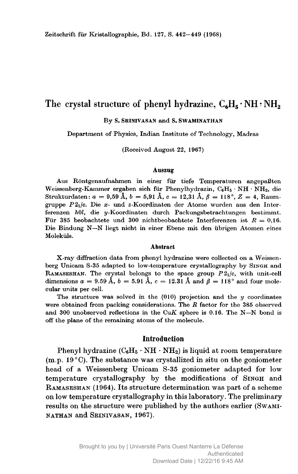# The crystal structure of phenyl hydrazine,  $C_6H_5 \cdot NH \cdot NH_2$

By S. Srinivasan and S. Swaminathan

Department of Physics, Indian Institute of Technology, Madras

(Received August 22, 1967)

#### Auszug

Aus Röntgenaufnahmen in einer für tiefe Temperaturen angepaßten Weissenberg-Kammer ergaben sich für Phenylhydrazin,  $C_6H_5 \cdot NH \cdot NH_2$ , die Strukturdaten:  $a = 9,59 \text{ Å}, b = 5,91 \text{ Å}, c = 12,31 \text{ Å}, \beta = 118^{\circ}, Z = 4$ , Raumgruppe  $P2_1/c$ . Die x- und z-Koordinaten der Atome wurden aus den Interferenzen h0l, die y-Koordinaten durch Packungsbetrachtungen bestimmt. Für 385 beobachtete und 300 nichtbeobachtete Interferenzen ist  $R = 0.16$ . Die Bindung N—N liegt nicht in einer Ebene mit den übrigen Atomen eines Moleküls.

### **Abstract**

X-ray diffraction data from phenyl hydrazine were collected on <sup>a</sup> Weissenberg Unicam S-35 adapted to low-temperature crystallography by Singh and RAMASESHAN. The crystal belongs to the space group  $P2_1/c$ , with unit-cell dimensions  $a = 9.59 \text{ Å}, b = 5.91 \text{ Å}, c = 12.31 \text{ Å}$  and  $\beta = 118^{\circ}$  and four molecular units per cell.

The structure was solved in the  $(010)$  projection and the  $y$  coordinates were obtained from packing considerations. The  $R$  factor for the 385 observed and <sup>300</sup> unobserved reflections in the CuK sphere is 0.16. The N—N bond is off the plane of the remaining atoms of the molecule.

### Introduction

Phenyl hydrazine  $(C_6H_5 \cdot NH \cdot NH_2)$  is liquid at room temperature (m.p.  $19^{\circ}$ C). The substance was crystallized in situ on the goniometer head of <sup>a</sup> Weissenberg Unicam S-35 goniometer adapted for low temperature crystallography by the modifications of Singh and Ramaseshan (1964). Its structure determination was part of <sup>a</sup> scheme on low temperature crystallography in this laboratory. The preliminary results on the structure were published by the authors earlier (Swaminathan and Srinivasan, 1967).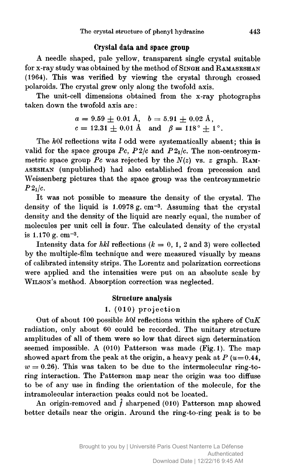## Crystal data and space group

A needle shaped, pale yellow, transparent single crystal suitable for x-ray study was obtained by the method of Singh and RAMASESHAN (1964). This was verified by viewing the crystal through crossed polaroids. The crystal grew only along the twofold axis.

The unit-cell dimensions obtained from the x-ray photographs taken down the twofold axis are:

$$
a = 9.59 \pm 0.01
$$
 Å,  $b = 5.91 \pm 0.02$  Å,  
 $c = 12.31 \pm 0.01$  Å and  $\beta = 118^{\circ} \pm 1^{\circ}$ .

The hOl reflections wits <sup>I</sup> odd were systematically absent; this is valid for the space groups  $Pc$ ,  $P2/c$  and  $P2<sub>1</sub>/c$ . The non-centrosymmetric space group Pc was rejected by the  $N(z)$  vs. z graph. RAMaseshan (unpublished) had also established from precession and Weissenberg pictures that the space group was the centrosymmetric  $P2_1/c$ .

It was not possible to measure the density of the crystal. The density of the liquid is  $1.0978 \text{ g. cm}^{-3}$ . Assuming that the crystal density and the density of the liquid are nearly equal, the number of molecules per unit cell is four. The calculated density of the crystal is  $1.170 g$ . cm<sup>-3</sup>.

Intensity data for hkl reflections ( $k = 0, 1, 2$  and 3) were collected by the multiple-film technique and were measured visually by means of calibrated intensity strips. The Lorentz and polarization corrections were applied and the intensities were put on an absolute scale by Wilson's method. Absorption correction was neglected.

# Structure analysis

# 1. (010) projection

Out of about 100 possible  $h0l$  reflections within the sphere of  $CuK$ radiation, only about <sup>60</sup> could be recorded. The unitary structure amplitudes of all of them were so low that direct sign determination seemed impossible. A (010) Patterson was made (Fig. 1). The map showed apart from the peak at the origin, a heavy peak at  $P(u=0.44,$  $w = 0.26$ ). This was taken to be due to the intermolecular ring-toring interaction. The Patterson map near the origin was too diffuse to be of any use in finding the orientation of the molecule, for the intramolecular interaction peaks could not be located.

An origin-removed and  $\hat{f}$  sharpened (010) Patterson map showed better details near the origin. Around the ring-to-ring peak is to be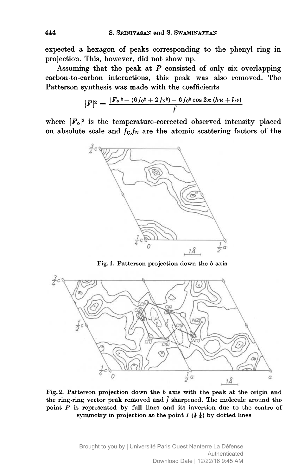expected <sup>a</sup> hexagon of peaks corresponding to the phenyl ring in projection. This, however, did not show up.

Assuming that the peak at  $P$  consisted of only six overlapping carbon-to-carbon interactions, this peak was also removed. The Patterson synthesis was made with the coefficients

$$
|F|^2 = \frac{|F_0|^2 - (6 f_0^2 + 2 f_{\mathcal{N}}^2) - 6 f_0^2 \cos 2\pi (h u + l w)}{f}
$$

where  $|F_0|^2$  is the temperature-corrected observed intensity placed on absolute scale and  $f_{\rm C}/f_{\rm N}$  are the atomic scattering factors of the



Fig. 1. Patterson projection down the b axis



Fig. 2. Patterson projection down the <sup>6</sup> axis with the peak at the origin and the ring-ring vector peak removed and  $\hat{f}$  sharpened. The molecule around the point  $P$  is represented by full lines and its inversion due to the centre of symmetry in projection at the point  $I(\frac{1}{2}, \frac{1}{4})$  by dotted lines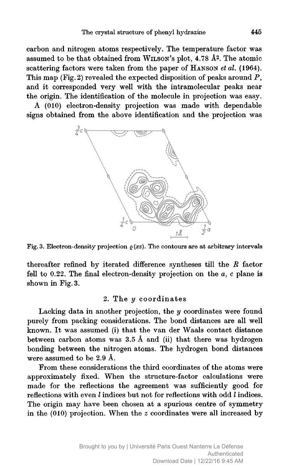carbon and nitrogen atoms respectively. The temperature factor was assumed to be that obtained from Wilson's plot, 4.78 â2. The atomic scattering factors were taken from the paper of HANSON et al. (1964). This map (Fig. 2) revealed the expected disposition of peaks around  $P$ , and it corresponded very well with the intramolecular peaks near the origin. The identification of the molecule in projection was easy.

A (010) electron-density projection was made with dependable signs obtained from the above identification and the projection was



Fig. 3. Electron-density projection  $\rho(xz)$ . The contours are at arbitrary intervals

thereafter refined by iterated difference syntheses till the  $R$  factor fell to 0.22. The final electron-density projection on the  $a, c$  plane is shown in Fig. 3.

# 2. The y coordinates

Lacking data in another projection, the  $y$  coordinates were found purely from packing considerations. The bond distances are all well known. It was assumed (i) that the van der Waals contact distance between carbon atoms was  $3.5 \text{ Å}$  and (ii) that there was hydrogen bonding between the nitrogen atoms. The hydrogen bond distances were assumed to be 2.9 A.

From these considerations the third coordinates of the atoms were approximately fixed. When the structure-factor calculations were made for the reflections the agreement was sufficiently good for reflections with even I indices but not for reflections with odd I indices. The origin may have been chosen at <sup>a</sup> spurious centre of symmetry in the (010) projection. When the <sup>z</sup> coordinates were all increased by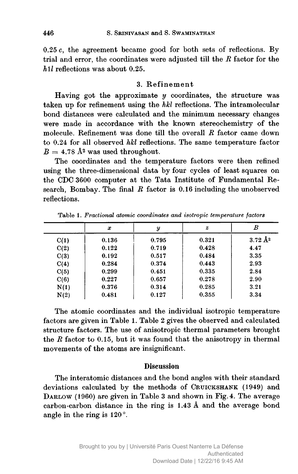$0.25 c$ , the agreement became good for both sets of reflections. By trial and error, the coordinates were adjusted till the  $R$  factor for the  $h1l$  reflections was about 0.25.

### 3. Refinement

Having got the approximate  $y$  coordinates, the structure was taken up for refinement using the hkl reflections. The intramolecular bond distances were calculated and the minimum necessary changes were made in accordance with the known stereochemistry of the molecule. Refinement was done till the overall R factor came down to 0.24 for all observed hkl reflections. The same temperature factor  $B = 4.78$  Å<sup>2</sup> was used throughout.

The coordinates and the temperature factors were then refined using the three-dimensional data by four cycles of least squares on the CDC <sup>3600</sup> computer at the Tata Institute of Fundamental Research, Bombay. The final  $R$  factor is 0.16 including the unobserved reflections.

|      | x     | y     | $\boldsymbol{z}$ | в                  |
|------|-------|-------|------------------|--------------------|
| C(1) | 0.136 | 0.795 | 0.321            | $3.72 \text{ Å}^2$ |
| C(2) | 0.122 | 0.719 | 0.428            | 4.47               |
| C(3) | 0.192 | 0.517 | 0.484            | 3.35               |
| C(4) | 0.284 | 0.374 | 0.443            | 2.93               |
| C(5) | 0.299 | 0.451 | 0.335            | 2.84               |
| C(6) | 0.227 | 0.657 | 0.278            | 2.90               |
| N(1) | 0.376 | 0.314 | 0.285            | 3.21               |
| N(2) | 0.481 | 0.127 | 0.355            | 3.34               |
|      |       |       |                  |                    |

Table 1. Fractional atomic coordinates and isotropic temperature factors

The atomic coordinates and the individual isotropic temperature factors are given in Table 1. Table <sup>2</sup> gives the observed and calculated structure factors. The use of anisotropic thermal parameters brought the  $R$  factor to 0.15, but it was found that the anisotropy in thermal movements of the atoms are insignificant.

### **Discussion**

The interatomic distances and the bond angles with their standard deviations calculated by the methods of CRUICKSHANK (1949) and DARLOW (1960) are given in Table 3 and shown in Fig. 4. The average carbon-carbon distance in the ring is 1.43 A and the average bond angle in the ring is 120°.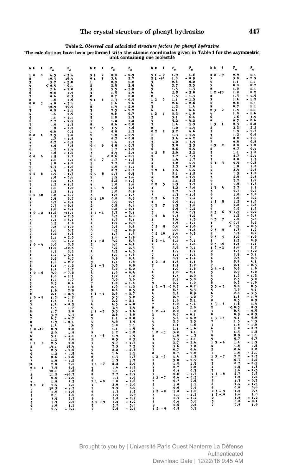Table 2. Observed and calculated structure factors for phenyl hydrazine

The calculations have been performed with the atomic coordinates given in Table <sup>1</sup> for the asymmetric unit containing one molecule

|                              |                      |                | $\mathbf{r}_\bullet$ | ۴.                                     |                                |                     | ı        | $\mathbf{r}_\mathrm{o}$                          | ۴.                  |                              |                         | ı                            | ۴.                      | ۴.                                         | р<br>k                                   | ı                       | ۴.                                     | r <sub>c</sub>                                                 |
|------------------------------|----------------------|----------------|----------------------|----------------------------------------|--------------------------------|---------------------|----------|--------------------------------------------------|---------------------|------------------------------|-------------------------|------------------------------|-------------------------|--------------------------------------------|------------------------------------------|-------------------------|----------------------------------------|----------------------------------------------------------------|
|                              | $\mathbf 0$          |                | 4.3<br>10.3          | 3.4<br>$-10.4$                         | ò                              | 91<br>$\mathbf 1$   | 2<br>3   | 0.8<br>3.4                                       | 0.9<br>2.7          | 9<br>$\overline{\mathbf{2}}$ |                         | $\frac{1}{1} - \frac{9}{10}$ | 1.9<br>1.0              | 1.6<br>0.9                                 | $22 - 9$                                 |                         | 0.9<br>3.8                             | 1.1<br>2.9                                                     |
|                              |                      |                | 5.7                  | $-5.8$                                 |                                |                     |          | ò. 9                                             | 1.2                 | 3                            |                         |                              | 0.6                     | 0.2                                        |                                          |                         | 1.1                                    | 1.1                                                            |
|                              |                      |                | ≺<br>0.5<br>2.4      | 0.1                                    |                                |                     |          | 2.9<br>5.5                                       | 2.9<br>5.2          |                              |                         |                              | 2.7<br>1.5              | 2.5<br>1.3                                 | a                                        |                         | 0.8<br>1.0                             | 0.7<br>1.1                                                     |
|                              |                      |                | 0.8                  | $-2.6$<br>1.5                          |                                |                     |          | 1.5                                              | i.6                 |                              |                         |                              | 2.5                     | 2.0                                        |                                          | $2 - 10$                | 1.8                                    | 0.2                                                            |
|                              |                      |                | 0.6                  | 0.3                                    | 8                              |                     |          | 0.7                                              | 0.8<br>0.9          | 8<br>$\mathbf{1}$            | $\mathbf 2$             | $\mathbf{0}$                 | 1.5                     | $-1.3$<br>$-1.5$                           | 2                                        |                         | 1.5<br>1.4                             | 1.5<br>1.2                                                     |
| 8<br>$\bullet$               | $\mathbf{o}$         | $\overline{2}$ | 1.6<br>4.8           | 1.6<br>5.1                             | 0                              | $\pmb{\mathbf{1}}$  |          | 1.3<br>1.6                                       | 2.1                 |                              |                         |                              | 1.1<br>2.4              | $-2.6$                                     |                                          |                         | 0.8                                    | 1.1                                                            |
| $\mathbf{1}$                 |                      |                | 18.9                 | 19.5                                   |                                |                     |          | $\begin{array}{c} 1.9 \\ 2.5 \\ 0.8 \end{array}$ | 2.0<br>2.2          | ٦                            |                         |                              | 1.2<br>4.1              | 1.4<br>4.4                                 | 2<br>$\overline{\phantom{a}}$            | 0                       | 0.7<br>1.5                             |                                                                |
|                              |                      |                | 0.9<br>1.4           | - 1.1<br>1.5                           | 3                              |                     |          |                                                  | 0.7                 | 1                            | $\boldsymbol{2}$        | $\mathbf{1}$                 | 2.2                     | 1.8                                        |                                          |                         | 1.0                                    | 1.6                                                            |
|                              |                      |                | 1.1                  | - 1.1                                  |                                |                     |          | 1.8                                              | 1.3                 |                              |                         |                              | 5.1                     | 6.4                                        | 6<br>ß                                   |                         | ، 3                                    | 3.5<br>0.6                                                     |
| 6                            |                      |                | 2.7<br>1.0           | $-2.5$<br>1.3                          | a                              |                     |          | 1,2                                              | 1.2<br>$-0.8$       | 7                            |                         |                              | 5.2<br>1.4              | 6.2<br>1.9                                 | $\overline{\phantom{a}}$<br>$\mathbf{1}$ | $\mathbf{1}$            | 0.7<br>2.3                             | 2,2                                                            |
| 8                            |                      |                | 1.0                  | 1.2                                    |                                | 0 <sub>1</sub>      | 5        | $\frac{0.6}{3.5}$<br>0.9                         | 3.6                 | 8                            |                         |                              | 1.0                     | 1.4                                        | 2                                        |                         | 2.2                                    | 2.2                                                            |
| 9<br>0                       | $\pmb{\mathfrak{0}}$ |                | 0.6<br>2.5           | 0.2<br>1.6                             | $\boldsymbol{2}$               |                     |          | 1.0                                              | 1.2<br>0. Q         | 0<br>$\mathbf{r}$            | $\mathbf 2$             | $\overline{2}$               | 5.2<br>1.3              | 4.6                                        | 3<br>٠                                   |                         | 1.9<br>1.2                             | 1.7<br>0.9                                                     |
| 2                            |                      |                | 1.7                  | 1.8                                    | ٠                              |                     |          | 0.7                                              | 0.8                 | 2                            |                         |                              | 5.4                     | $-1.4$<br>$-4.2$                           | 6                                        |                         | 0,8                                    | 1.1                                                            |
|                              |                      |                | 0.7<br>3.6           | $-0.2$<br>3.8                          | 5                              | 0 <sub>1</sub>      | 6        | 1.4<br>0.8                                       | Ō.                  | 3<br>5                       |                         |                              | 4.0<br>3.8              | $\blacksquare$<br>$\frac{3.9}{3.5}$<br>0.4 | 7<br>3<br>$\mathbf{I}$                   | $\overline{\mathbf{2}}$ | 0.6<br>0.8                             | 0.8<br>$\boldsymbol{1}$ . $\boldsymbol{0}$                     |
|                              |                      |                | 1.2                  |                                        | $\mathbf{1}$                   |                     |          | 1.7                                              |                     | 6                            |                         |                              | 0,6                     |                                            | 2                                        |                         | 0.7                                    | 0.4                                                            |
| 7<br>ó                       | $\pmb{\mathsf{o}}$   |                | 1.6<br>1.9           | 1.0<br>2.2                             |                                |                     |          | 2.4<br><<br>0.6                                  | 2.4<br>0.1          | 1<br>2                       | $\overline{\mathbf{2}}$ | 3                            | $2.9$<br>3.7            | 2.2<br>3.3                                 | 3<br>5                                   |                         | 1.1<br>2.7                             | 1.0<br>2,4                                                     |
| $\mathbf{1}$                 |                      |                | 4.1                  | 4.1                                    | Ó                              | $\mathbf{1}$        | 7        | 1.7                                              |                     |                              |                         |                              | 1,4                     | 1.7                                        | 7                                        |                         | 0.8                                    | $\frac{1}{0.8}$                                                |
|                              |                      |                | 1.8<br>2.3           |                                        |                                |                     |          | 2.7<br>1.0                                       | 2.6                 |                              |                         |                              | 3.2<br>2.3              | 2.9<br>2.0                                 | 0<br>3<br>1                              | 3                       | 0.5<br>1.8                             | 1.8                                                            |
| Ġ                            |                      |                | 1.4                  | 1.8                                    | 3                              |                     |          | 0.7                                              | 0.7                 |                              | $\bf{2}$                | ł,                           | 3.4                     | 2.4                                        | $\overline{2}$                           |                         | 2.4                                    | $2.5$<br>1.8                                                   |
| 0 <sub>0</sub>               |                      | 8              | 1.9<br>1.0           | 1.7<br>0.6<br>$\overline{\phantom{0}}$ | ō<br>$\overline{2}$            | $\pmb{1}$           | 8        | 1.3<br>1.9                                       | 0.8<br>1.6          |                              |                         |                              | 2.1<br>2.0              | $\frac{1.5}{1.5}$<br>z.                    | 4                                        |                         | 1.5<br>2.6                             | 2.6                                                            |
| 1                            |                      |                | 1.4                  | 1.3                                    | $\overline{\mathbf{3}}$        |                     |          | 2.2                                              | 1.7                 | 6                            |                         |                              | 1.1                     | 1.5                                        | 5<br>6                                   |                         | 2, 2                                   | 1.2                                                            |
| з                            |                      |                | 1.2                  | $-1.2$                                 |                                |                     |          | 1.8                                              | 1.6                 | 0                            | $\pmb{2}$               | 5                            | 1.5                     | 1.3                                        | 7                                        | 4                       | 1.8                                    | 1.3                                                            |
| 5                            |                      |                | 1.1<br>1.2           | 1.0<br>1.1                             | $\mathbf{1}$<br>$\overline{2}$ | $\mathbf 1$         | 9        | 0.6<br>1.0                                       | 0.5<br>0.9          | 1                            |                         |                              | 3.2<br>$\overline{2.7}$ | 3.0<br>2.3                                 | 3<br>1                                   |                         | 2.7<br>0.7                             | 1.9<br>0.7                                                     |
| ò                            | $\pmb{\mathfrak{o}}$ | 10             | 0.8                  | 0.7                                    | ٦                              |                     |          | 1.5                                              |                     | ٦                            |                         |                              | 1.3                     | 1.5                                        | š                                        |                         | 1.0                                    | 0.8                                                            |
| $\mathbf{1}$                 |                      |                | 0.8<br>0.7           | 0.7<br>0.4                             | 1                              | 0110                |          | 0.8<br>0.9                                       | 0.5<br>0.5          | 02<br>1                      |                         | 6                            | 2.3<br>0.9              | 2.4<br>1.1                                 | 7<br>3<br>$\mathbf{1}$                   | 5                       | 1.0<br>1.2                             | 0.2<br>1.0                                                     |
|                              |                      |                | 0.7                  | $-0.1$                                 | $\mathbf{2}$                   |                     |          | 0.8                                              | 0.8                 | 02                           |                         | 7                            | $\frac{1}{2.6}$         | 1.6                                        | 3                                        |                         | 0.8                                    | 0.8                                                            |
|                              |                      | $0 - 2$        | 1.6<br>11.2          | 0.5<br>$-11.1$                         | ۷<br>1                         |                     | $1 - 1$  | 0.8<br>5.7                                       | 0.1<br>5.4          | ۰<br>٦                       |                         |                              | 0.6                     | 2.2<br>0.9                                 | Ġ<br>0<br>3                              | 6                       | 0.9<br>0.5                             | 1.2<br>0.2                                                     |
|                              |                      |                | 2.2                  |                                        | 2                              |                     |          | 6.5                                              | 6.0                 | 02                           |                         | 8                            | 1.5                     | 1.2                                        | 5                                        |                         | 1.2                                    | 0.4                                                            |
|                              |                      |                | 4.4<br>0.5           | 1.0                                    |                                |                     |          | 4.5<br>1.2                                       | 5.4<br>2.0          | 1                            |                         |                              | 2.6                     | 2.3<br>1.1                                 | ō<br>$\overline{\mathbf{3}}$<br>1        | $\overline{\mathbf{z}}$ | <                                      | 3.8<br>ó.2                                                     |
|                              |                      |                | 0,8                  | 1.0                                    |                                |                     |          | 0.5                                              | 0.8                 | 02                           |                         | ٥                            | $\frac{1}{0.5}$         | $-1.0$                                     | 2                                        |                         | $4.2$<br>0.5<br>0.5<br>1.3<br>1.7<br>< | 0.3                                                            |
|                              |                      |                | 4.6<br>1.2           | $\overline{2}$                         |                                |                     |          | 0.5                                              | 0.9<br>1.5          | 1<br>n                       | $\bf 2$                 | 10                           | 2.1<br>1.6              | 1.8<br>0.3                                 | ō<br>$\overline{\mathbf{3}}$<br>2        | 8                       |                                        | 1.2<br>0.2                                                     |
|                              |                      |                | 2.1                  | 1.6                                    | 8                              |                     |          | 1.3<br>1.6                                       |                     | 5                            |                         |                              | <<br>0.5                | $\bullet$                                  | $\bullet$<br>3                           | 9                       | $\frac{1}{1.3}$                        | 1.0                                                            |
|                              |                      |                | 0.9                  | 1.2                                    | $\mathbf{1}$                   |                     | $1 - 2$  | 9.2                                              | A                   | 2                            |                         | $2 - 1$                      | $\frac{1}{2}$           | 3.1                                        | $\mathbf{1}$<br>3<br>0                   | $\overline{10}$         | 1.8                                    | 0.9                                                            |
|                              |                      | $0 - 4$        | 6.0<br>11.0          | 5.5<br>$-10.8$                         | $\overline{2}$                 |                     |          | 6.0<br>3.2                                       | 6.1<br>2.3          | ٦                            |                         |                              | 4.9<br>3.8              | 4.8<br>3.1                                 | 1<br>3                                   | $-1$                    | 1.6                                    | $\frac{1 \cdot 1}{1 \cdot 7}$                                  |
|                              |                      |                | 4.3                  | 3.2                                    |                                |                     |          | 4.3                                              |                     |                              |                         |                              | 1.9                     | 1.7                                        | $\overline{2}$                           |                         | 1.3                                    | 1,2                                                            |
|                              |                      |                | 4.4<br>6.2           | 6.7                                    | s.                             |                     |          | 1.2<br>0.9                                       | 0.4                 |                              |                         |                              | 1.1<br>0.7              | 1.4<br>1.4                                 | 3                                        |                         | 2.9<br>0.5                             | 3.1<br>0.3                                                     |
|                              |                      |                | 1.6                  | 2.2                                    | 9                              |                     |          | 1.4                                              | 1.8                 |                              |                         | $2 - 2$                      | 1.5                     | 1.1                                        | 6                                        |                         | 3.8                                    | 4.1                                                            |
|                              |                      |                | 1.1<br>1.4           | 1.2<br>1.7                             | 3                              | $21 - 3$            |          | 0.5<br>6.0                                       |                     | 3                            |                         |                              | 1.1<br>1.0              | 1.2<br>1.6                                 | 2                                        | $3 - 2$                 | 2.1<br>0.9                             | 2.3<br>1.0                                                     |
| 1                            |                      | $0 - 6$        | 9.0                  | 7.6                                    | ۸                              |                     |          | 1.0                                              | 0.4                 |                              |                         |                              | 1.8                     | 2.4                                        |                                          |                         | 0.9                                    | 1.0                                                            |
|                              |                      |                | 1.0<br>1.4           | 1.1<br>1.7                             | 5                              | ó                   |          | 1.2<br>3.0                                       | 1.2<br>5.6          |                              |                         |                              | 1.3                     | 2.0<br>3.0                                 | 5                                        |                         | 1.2<br>2.5                             | 1.2<br>3.0                                                     |
|                              |                      |                | 0.5                  | 0.4                                    |                                |                     |          | 1.0                                              |                     |                              |                         |                              | $\frac{2.2}{0.7}$       | 1.0                                        | 6                                        |                         | 0.7                                    | 1.0                                                            |
|                              |                      |                | 0.5<br>1.<br>9       | 1.2<br>2.9                             | а<br>٠                         |                     |          | 1.0<br>0.6                                       | 1.2<br>o. s         |                              |                         | $2 - 3$                      | $0.5$<br>6.3<br>ć       | 0.2<br>5.3                                 | 3<br>5                                   | $3 - 3$                 | 0.8<br>5.6                             | 0.5<br>4.1                                                     |
|                              |                      |                | 2.1                  | $-2.5$                                 | 1                              |                     | $1 - 4$  | 2.6                                              | 2.7                 |                              |                         |                              | $2.4$<br>$2.9$          | õ.9                                        | Ğ                                        |                         | 2.8                                    | 3.5                                                            |
|                              | $\mathbf{o}$         | $-8$           | 1.<br>$\mathbf{1}$   | 1.2<br>1.1                             |                                | $\overline{2}$<br>3 |          | 5.5<br>2.2                                       | 2.1                 | 5<br>6                       |                         |                              | 1.6                     | 3.2<br>2.1                                 | 7<br>8                                   |                         | 1.8<br>0.5                             | 1.9<br>o. 9                                                    |
|                              |                      |                | 1.4                  | 0.5                                    |                                |                     |          | 4.3                                              | 4.8                 | 7                            |                         |                              | 1.0                     | 1.4                                        | 1                                        | $3 - 4$                 | $1.\overline{8}$                       | 1.4                                                            |
|                              |                      |                | 1.5<br>1.7           | 1.7<br>$^{2.0}$                        |                                | 5<br>$11 - 5$       |          | $\frac{3.5}{3.5}$                                | 3.4                 | a<br>1                       |                         | $2 - 4$                      | $\frac{1.5}{2.0}$       | 2.0<br>1.2                                 | 2<br>3                                   |                         | $0.5$<br>0.5                           | 0.3<br>5                                                       |
|                              |                      |                | 3.9                  |                                        |                                | $\overline{2}$      |          | 2.8                                              | 3.6                 | $\overline{\mathbf{2}}$      |                         |                              | $\overline{0.8}$        | 0.1<br>4.0                                 | s                                        |                         | 0.9<br>5.1                             | 0.9<br>5.0                                                     |
|                              |                      |                | 6.7<br>1.9           | 6.<br>2.1                              |                                | ۹                   |          | 1.1<br>4.0                                       | 0.8<br>3.9          | ٦                            |                         |                              | 5.8<br>2.5              |                                            | 1<br>2                                   | $3 - 5$                 | 1.5                                    | $\frac{1}{1.5}$                                                |
|                              |                      |                | 1.4                  |                                        |                                |                     |          | 1.0                                              |                     |                              |                         |                              | 1.1                     | $2.5$<br>1.6                               | ٦                                        |                         | 1.8                                    |                                                                |
| 1<br>5                       |                      | $0 - 10$       | 0.9<br>2.5           | 0.8<br>1.9                             |                                | ų                   |          | 1.1<br>1.2                                       |                     | 6<br>1                       |                         | $2 - 5$                      | 1.1<br>3.2              | 1.6<br>3.1                                 | 6<br>7                                   |                         | 1.0<br>1.5                             | 0.7<br>1.2                                                     |
| Ġ.                           |                      |                | 5.1                  |                                        |                                | $11 - 6$            |          | 1.9                                              | 1.5                 | $\overline{2}$               |                         |                              | 1.9                     | 1.3                                        | 8                                        |                         | 0.9                                    | $1.1$<br>0.7<br>$1.5$<br>1.8                                   |
| 8<br>1                       | $\mathbf{I}$         |                | 1.2<br>2.5           | 2,0<br>2.0                             |                                | $\overline{2}$      |          | 0.5<br>5.7                                       | 0.3                 | 3                            |                         |                              | 5.3<br>2.7              | 3.1<br>- 2.6                               | 9<br>$\mathbf{1}$                        | $3 - 6$                 | 0.7<br>1.4                             |                                                                |
|                              |                      |                | 14.1                 | 15.4                                   |                                |                     |          | 2.3                                              |                     |                              |                         |                              | 3.6                     | 3.8                                        | $\overline{2}$                           |                         | 1.6                                    |                                                                |
|                              |                      |                | 2.5                  |                                        |                                |                     |          | 2.<br>$\overline{2}$<br>1.6                      | 2.3<br>1.1          | 8                            |                         |                              | 0.7<br>0.7              | 0.6<br>1.2                                 | 5<br>7                                   |                         | 0.6<br>1.6                             | 0.8<br>2.1                                                     |
| 5<br>6                       |                      |                | 1.2<br>0.6           | $-1.5$<br>0.6                          |                                |                     |          | 1.3                                              |                     | 1                            |                         | $2 - 6$                      | 1.4                     | 1.3                                        | $\mathbf{1}$                             | $3 - 7$                 | 2, 2                                   | 2. 3                                                           |
| 7<br>10                      |                      |                | 1.0<br>2.0           | $-1.2$<br>2.1                          |                                | $31 - 7$            |          | 1.5<br>2.2                                       |                     |                              |                         |                              | 3.0<br>1.5              | 2.5<br>1.5                                 | $\overline{2}$<br>3                      |                         | 2.3<br>0.7                             | $2.2$<br>0.5<br>1.3<br>1.3<br>2.2                              |
| $\bullet$                    | $\mathbf{1}$         | 1              | 7.5                  | 8.5                                    |                                | 4                   |          | 1.6                                              |                     |                              |                         |                              | 0.7                     | 0.8                                        |                                          |                         | 1.2                                    |                                                                |
| 1                            |                      |                | 10.1                 | 9.6                                    |                                | 6                   |          | 1.1<br>2.7                                       |                     |                              |                         |                              | 0.9<br>0.8              | 0.3<br>1.                                  | 1                                        | $3 - 8$                 | $\frac{1.6}{2.7}$                      |                                                                |
| $\overline{\mathbf{c}}$<br>٠ |                      |                | 11.5<br>2.6          | $-10.7$<br>2.0                         |                                |                     |          | 1.3                                              | 6                   |                              |                         | $22 - 7$                     | 0.6                     | 0.5                                        | 2                                        |                         | 1.2                                    |                                                                |
|                              |                      |                | 1.9                  | 2.1                                    |                                | $21 - 8$            |          | 1.8                                              |                     | 3                            |                         |                              | 0.7                     | 0, 6                                       | ٦<br>6                                   |                         | 1.3<br>1.4                             | $\begin{array}{c} 2.2 \\ 0.8 \\ 0.7 \\ 1.5 \\ 0.6 \end{array}$ |
| 0                            | $\mathbf{1}$         |                | 10.3                 | 1.1                                    |                                |                     |          | 2.0<br>2.9                                       | $\mathbf{0}$<br>3.0 | 9                            |                         |                              | 1.0<br>0.6              | 1.1<br>n a                                 | R                                        |                         | 0.8                                    |                                                                |
|                              |                      |                |                      |                                        |                                |                     |          | 1.3                                              |                     |                              |                         | $2 - 8$                      | 1.0                     | 1.0<br>1.2                                 | $\mathbf{2}$<br>,                        | $3 - 9$<br>$3 - 10$     | 1.2<br>1.6                             | 0.3<br>1.0                                                     |
|                              |                      |                | 8.1                  | 7.0<br>5.5                             |                                |                     |          | 0.9<br>2.<br>$\ddot{\mathbf{0}}$                 | 2,1                 |                              |                         |                              | 1.1<br>0.9              | 1.4                                        | $\overline{2}$                           |                         | 1.8                                    | 1.2                                                            |
| 5                            |                      |                |                      | 2.0                                    |                                |                     | $31 - 9$ | 2<br>1.                                          | 1.2                 |                              |                         |                              | 0.6<br>0.6              | 0.6<br>0.8                                 | 5                                        |                         | 0.8<br>0,8                             | 0.1<br>1.0                                                     |
|                              |                      |                | 1.0<br>0.9           | 1.2<br>0.1                             |                                |                     |          | 3.2<br>2.6                                       | 3.0<br>2.4          |                              |                         | $12 - 9$                     | 0.5                     | 0.7                                        |                                          |                         |                                        |                                                                |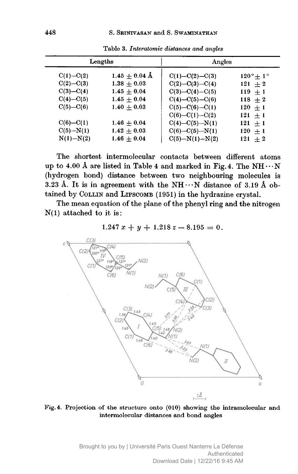|               | Lengths           | Angles               |                       |  |  |  |  |
|---------------|-------------------|----------------------|-----------------------|--|--|--|--|
| $C(1) - C(2)$ | $1.45 \pm 0.04$ Å | $C(1) - C(2) - C(3)$ | $120^\circ + 1^\circ$ |  |  |  |  |
| $C(2) - C(3)$ | $1.38 + 0.03$     | $C(2) - C(3) - C(4)$ | $121 + 2$             |  |  |  |  |
| $C(3) - C(4)$ | $1.45 + 0.04$     | $C(3) - C(4) - C(5)$ | $119 + 1$             |  |  |  |  |
| $C(4) - C(5)$ | $1.45 + 0.04$     | $C(4) - C(5) - C(6)$ | $118 + 2$             |  |  |  |  |
| $C(5) - C(6)$ | $1.40 + 0.03$     | $C(5) - C(6) - C(1)$ | $120 + 1$             |  |  |  |  |
|               |                   | $C(6) - C(1) - C(2)$ | $121 + 1$             |  |  |  |  |
| $C(6) - C(1)$ | $1.46 + 0.04$     | $C(4) - C(5) - N(1)$ | $121 + 1$             |  |  |  |  |
| $C(5) - N(1)$ | $1.42 + 0.03$     | $C(6) - C(5) - N(1)$ | $120 + 1$             |  |  |  |  |
| $N(1) - N(2)$ | $1.46 + 0.04$     | $C(5) - N(1) - N(2)$ | $121 + 2$             |  |  |  |  |

Table 3. Interatomic distances and angles

The shortest intermolecular contacts between different atoms up to 4.00 Å are listed in Table 4 and marked in Fig. 4. The NH $\cdots$ N (hydrogen bond) distance between two neighbouring molecules is 3.23 Å. It is in agreement with the  $NH \cdots N$  distance of 3.19 Å obtained by COLLIN and LIPSCOMB (1951) in the hydrazine crystal.

The mean equation of the plane of the phenyl ring and the nitrogen  $N(1)$  attached to it is:

# $1.247 x + y + 1.218 z - 8.195 = 0.$



Fig. 4. Projection of the structure onto (010) showing the intramolecular and intermolecular distances and bond angles

> Brought to you by | Université Paris Ouest Nanterre La Défense Authenticated Download Date | 12/22/16 9:45 AM